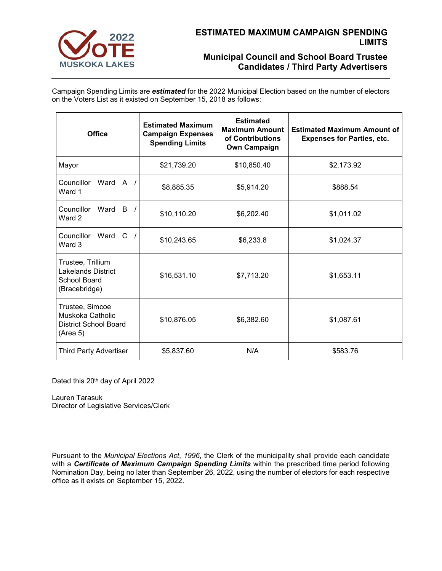

# **Municipal Council and School Board Trustee Candidates / Third Party Advertisers**

Campaign Spending Limits are *estimated* for the 2022 Municipal Election based on the number of electors on the Voters List as it existed on September 15, 2018 as follows:

| <b>Office</b>                                                                   | <b>Estimated Maximum</b><br><b>Campaign Expenses</b><br><b>Spending Limits</b> | <b>Estimated</b><br><b>Maximum Amount</b><br>of Contributions<br><b>Own Campaign</b> | <b>Estimated Maximum Amount of</b><br><b>Expenses for Parties, etc.</b> |
|---------------------------------------------------------------------------------|--------------------------------------------------------------------------------|--------------------------------------------------------------------------------------|-------------------------------------------------------------------------|
| Mayor                                                                           | \$21,739.20                                                                    | \$10,850.40                                                                          | \$2,173.92                                                              |
| Councillor<br>Ward A /<br>Ward 1                                                | \$8,885.35                                                                     | \$5,914.20                                                                           | \$888.54                                                                |
| Councillor<br>Ward B /<br>Ward 2                                                | \$10,110.20                                                                    | \$6,202.40                                                                           | \$1,011.02                                                              |
| Councillor<br>Ward C<br>Ward 3                                                  | \$10,243.65                                                                    | \$6,233.8                                                                            | \$1,024.37                                                              |
| Trustee, Trillium<br><b>Lakelands District</b><br>School Board<br>(Bracebridge) | \$16,531.10                                                                    | \$7,713.20                                                                           | \$1,653.11                                                              |
| Trustee, Simcoe<br>Muskoka Catholic<br><b>District School Board</b><br>(Area 5) | \$10,876.05                                                                    | \$6,382.60                                                                           | \$1,087.61                                                              |
| <b>Third Party Advertiser</b>                                                   | \$5,837.60                                                                     | N/A                                                                                  | \$583.76                                                                |

Dated this 20<sup>th</sup> day of April 2022

Lauren Tarasuk Director of Legislative Services/Clerk

Pursuant to the *Municipal Elections Act*, *1996*, the Clerk of the municipality shall provide each candidate with a *Certificate of Maximum Campaign Spending Limits* within the prescribed time period following Nomination Day, being no later than September 26, 2022, using the number of electors for each respective office as it exists on September 15, 2022.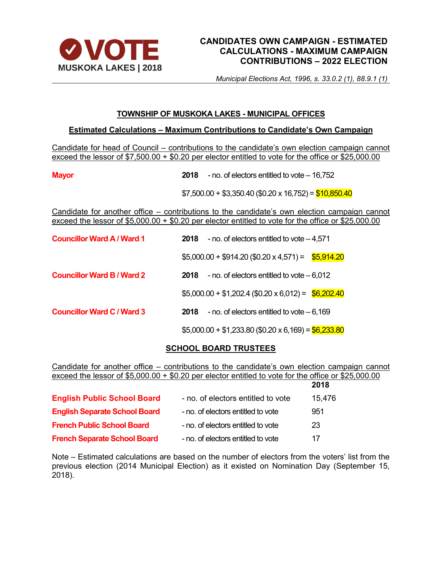

# **CANDIDATES OWN CAMPAIGN - ESTIMATED CALCULATIONS - MAXIMUM CAMPAIGN CONTRIBUTIONS – 2022 ELECTION**

*Municipal Elections Act, 1996, s. 33.0.2 (1), 88.9.1 (1)*

## **TOWNSHIP OF MUSKOKA LAKES - MUNICIPAL OFFICES**

## **Estimated Calculations – Maximum Contributions to Candidate's Own Campaign**

Candidate for head of Council – contributions to the candidate's own election campaign cannot exceed the lessor of \$7,500.00 + \$0.20 per elector entitled to vote for the office or \$25,000.00

**Mayor 2018** - no. of electors entitled to vote – 16,752

 $$7,500.00 + $3,350.40$  (\$0.20 x 16,752) = \$10,850.40

Candidate for another office – contributions to the candidate's own election campaign cannot exceed the lessor of \$5,000.00 + \$0.20 per elector entitled to vote for the office or \$25,000.00

| <b>Councillor Ward A / Ward 1</b> | 2018 | - no. of electors entitled to vote $-4,571$            |  |
|-----------------------------------|------|--------------------------------------------------------|--|
|                                   |      | $$5,000.00 + $914.20 ($0.20 \times 4,571) = $5,914.20$ |  |
| <b>Councillor Ward B / Ward 2</b> | 2018 | - no. of electors entitled to vote $-6,012$            |  |
|                                   |      | $$5,000.00 + $1,202.4$ (\$0.20 x 6,012) = \$6,202.40   |  |
| <b>Councillor Ward C / Ward 3</b> | 2018 | - no. of electors entitled to vote $-6,169$            |  |
|                                   |      | $$5,000.00 + $1,233.80$ (\$0.20 x 6,169) = \$6,233.80  |  |

# **SCHOOL BOARD TRUSTEES**

Candidate for another office – contributions to the candidate's own election campaign cannot exceed the lessor of \$5,000.00 + \$0.20 per elector entitled to vote for the office or \$25,000.00

|                                      |                                    | 2018   |
|--------------------------------------|------------------------------------|--------|
| <b>English Public School Board</b>   | - no. of electors entitled to vote | 15,476 |
| <b>English Separate School Board</b> | - no. of electors entitled to vote | 951    |
| <b>French Public School Board</b>    | - no. of electors entitled to vote | 23     |
| <b>French Separate School Board</b>  | - no. of electors entitled to vote | 17     |

Note – Estimated calculations are based on the number of electors from the voters' list from the previous election (2014 Municipal Election) as it existed on Nomination Day (September 15, 2018).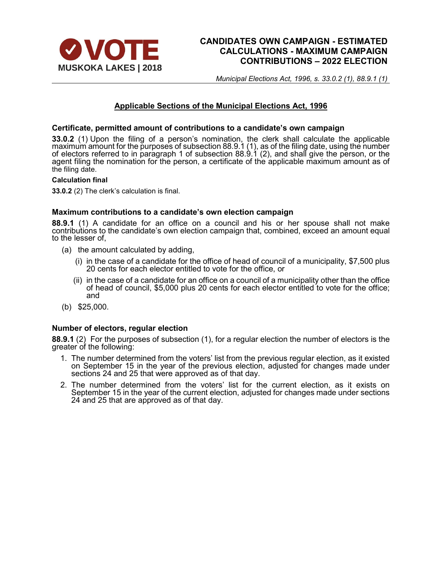

# **CANDIDATES OWN CAMPAIGN - ESTIMATED CALCULATIONS - MAXIMUM CAMPAIGN CONTRIBUTIONS – 2022 ELECTION**

*Municipal Elections Act, 1996, s. 33.0.2 (1), 88.9.1 (1)*

## **Applicable Sections of the Municipal Elections Act, 1996**

### **Certificate, permitted amount of contributions to a candidate's own campaign**

**33.0.2** (1) Upon the filing of a person's nomination, the clerk shall calculate the applicable maximum amount for the purposes of subsection 88.9.1 (1), as of the filing date, using the number of electors referred to in paragraph 1 of subsection 88.9.1 (2), and shall give the person, or the agent filing the nomination for the person, a certificate of the applicable maximum amount as of the filing date.

#### **Calculation final**

**33.0.2** (2) The clerk's calculation is final.

### **Maximum contributions to a candidate's own election campaign**

**88.9.1** (1) A candidate for an office on a council and his or her spouse shall not make contributions to the candidate's own election campaign that, combined, exceed an amount equal to the lesser of,

- (a) the amount calculated by adding,
	- (i) in the case of a candidate for the office of head of council of a municipality, \$7,500 plus 20 cents for each elector entitled to vote for the office, or
	- (ii) in the case of a candidate for an office on a council of a municipality other than the office of head of council,  $$5,000$  plus 20 cents for each elector entitled to vote for the office; and
- (b) \$25,000.

### **Number of electors, regular election**

**88.9.1** (2) For the purposes of subsection (1), for a regular election the number of electors is the greater of the following:

- 1. The number determined from the voters' list from the previous regular election, as it existed on September 15 in the year of the previous election, adjusted for changes made under sections 24 and 25 that were approved as of that day.
- 2. The number determined from the voters' list for the current election, as it exists on September 15 in the year of the current election, adjusted for changes made under sections 24 and 25 that are approved as of that day.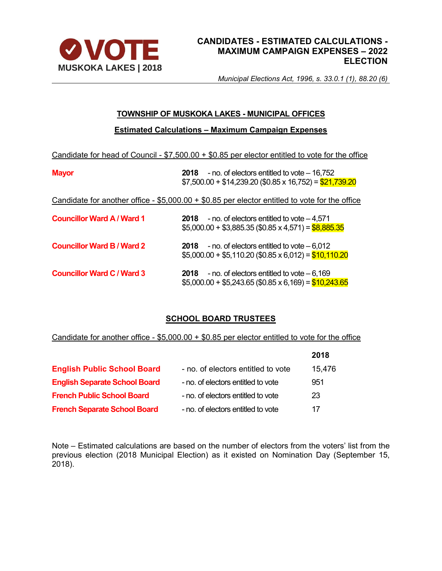

# **CANDIDATES - ESTIMATED CALCULATIONS - MAXIMUM CAMPAIGN EXPENSES – 2022 ELECTION**

*Municipal Elections Act, 1996, s. 33.0.1 (1), 88.20 (6)*

## **TOWNSHIP OF MUSKOKA LAKES - MUNICIPAL OFFICES**

## **Estimated Calculations – Maximum Campaign Expenses**

Candidate for head of Council - \$7,500.00 + \$0.85 per elector entitled to vote for the office

| <b>Mayor</b>                      | - no. of electors entitled to vote - 16,752<br>2018<br>$$7,500.00 + $14,239.20$ (\$0.85 x 16,752) = \$21,739.20 |
|-----------------------------------|-----------------------------------------------------------------------------------------------------------------|
|                                   | Candidate for another office - $$5,000.00 + $0.85$ per elector entitled to vote for the office                  |
| <b>Councillor Ward A / Ward 1</b> | - no. of electors entitled to vote $-4,571$<br>2018<br>$$5,000.00 + $3,885.35$ (\$0.85 x 4,571) = \$8,885.35    |
| <b>Councillor Ward B / Ward 2</b> | - no. of electors entitled to vote $-6,012$<br>2018<br>$$5,000.00 + $5,110.20$ (\$0.85 x 6,012) = \$10,110.20   |
| <b>Councillor Ward C / Ward 3</b> | - no. of electors entitled to vote $-6,169$<br>2018<br>$$5,000.00 + $5,243.65$ (\$0.85 x 6,169) = \$10,243.65   |

# **SCHOOL BOARD TRUSTEES**

Candidate for another office - \$5,000.00 + \$0.85 per elector entitled to vote for the office

|                                      |                                    | 2018   |
|--------------------------------------|------------------------------------|--------|
| <b>English Public School Board</b>   | - no. of electors entitled to vote | 15,476 |
| <b>English Separate School Board</b> | - no. of electors entitled to vote | 951    |
| <b>French Public School Board</b>    | - no. of electors entitled to vote | 23     |
| <b>French Separate School Board</b>  | - no. of electors entitled to vote | 17     |

Note – Estimated calculations are based on the number of electors from the voters' list from the previous election (2018 Municipal Election) as it existed on Nomination Day (September 15, 2018).